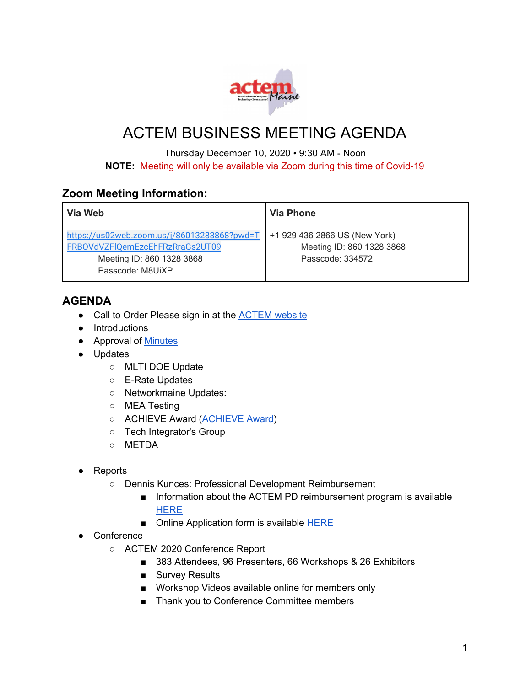

## ACTEM BUSINESS MEETING AGENDA

Thursday December 10, 2020 • 9:30 AM - Noon **NOTE:** Meeting will only be available via Zoom during this time of Covid-19

## **Zoom Meeting Information:**

| Via Web                                                                                                                         | Via Phone                                                                      |
|---------------------------------------------------------------------------------------------------------------------------------|--------------------------------------------------------------------------------|
| https://us02web.zoom.us/j/86013283868?pwd=T<br>FRBOVdVZFIQemEzcEhFRzRraGs2UT09<br>Meeting ID: 860 1328 3868<br>Passcode: M8UiXP | +1 929 436 2866 US (New York)<br>Meeting ID: 860 1328 3868<br>Passcode: 334572 |

## **AGENDA**

- Call to Order Please sign in at the [ACTEM](https://docs.google.com/forms/d/e/1FAIpQLSeYQyg9SyUVDdkvJ7SBDoo4DEfrKK1Y_w7DH7GUFsu16T-OvA/viewform?fbzx=-352363821844841307) website
- Introductions
- Approval of [Minutes](http://actem.wildapricot.org/resources/Documents/2020%20Sept%2024%20ACTEM%20Meeting%20Minutes.pdf)
- Updates
	- MLTI DOE Update
	- E-Rate Updates
	- Networkmaine Updates:
	- MEA Testing
	- ACHIEVE Award [\(ACHIEVE](http://www.actem.org/AchieveAward) Award)
	- Tech Integrator's Group
	- METDA
- **Reports** 
	- Dennis Kunces: Professional Development Reimbursement
		- Information about the ACTEM PD reimbursement program is available **[HERE](http://www.actem.org/ACTEM-PD)**
		- Online Application form is available **[HERE](http://www.actem.org/Online-PD-Application-Form)**
- Conference
	- ACTEM 2020 Conference Report
		- 383 Attendees, 96 Presenters, 66 Workshops & 26 Exhibitors
		- Survey Results
		- Workshop Videos available online for members only
		- Thank you to Conference Committee members